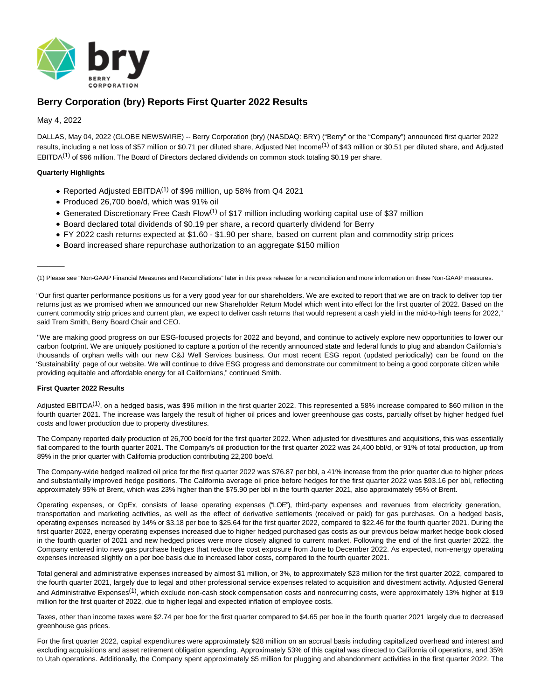

# **Berry Corporation (bry) Reports First Quarter 2022 Results**

# May 4, 2022

 $\overline{\phantom{a}}$ 

DALLAS, May 04, 2022 (GLOBE NEWSWIRE) -- Berry Corporation (bry) (NASDAQ: BRY) ("Berry" or the "Company") announced first quarter 2022 results, including a net loss of \$57 million or \$0.71 per diluted share, Adjusted Net Income<sup>(1)</sup> of \$43 million or \$0.51 per diluted share, and Adjusted EBITDA<sup>(1)</sup> of \$96 million. The Board of Directors declared dividends on common stock totaling \$0.19 per share.

# **Quarterly Highlights**

- Reported Adjusted EBITDA<sup>(1)</sup> of \$96 million, up 58% from Q4 2021
- Produced 26,700 boe/d, which was 91% oil
- Generated Discretionary Free Cash Flow<sup>(1)</sup> of \$17 million including working capital use of \$37 million
- Board declared total dividends of \$0.19 per share, a record quarterly dividend for Berry
- FY 2022 cash returns expected at \$1.60 \$1.90 per share, based on current plan and commodity strip prices
- Board increased share repurchase authorization to an aggregate \$150 million

(1) Please see "Non-GAAP Financial Measures and Reconciliations" later in this press release for a reconciliation and more information on these Non-GAAP measures.

"Our first quarter performance positions us for a very good year for our shareholders. We are excited to report that we are on track to deliver top tier returns just as we promised when we announced our new Shareholder Return Model which went into effect for the first quarter of 2022. Based on the current commodity strip prices and current plan, we expect to deliver cash returns that would represent a cash yield in the mid-to-high teens for 2022," said Trem Smith, Berry Board Chair and CEO.

"We are making good progress on our ESG-focused projects for 2022 and beyond, and continue to actively explore new opportunities to lower our carbon footprint. We are uniquely positioned to capture a portion of the recently announced state and federal funds to plug and abandon California's thousands of orphan wells with our new C&J Well Services business. Our most recent ESG report (updated periodically) can be found on the 'Sustainability' page of our website. We will continue to drive ESG progress and demonstrate our commitment to being a good corporate citizen while providing equitable and affordable energy for all Californians," continued Smith.

#### **First Quarter 2022 Results**

Adjusted EBITDA<sup>(1)</sup>, on a hedged basis, was \$96 million in the first quarter 2022. This represented a 58% increase compared to \$60 million in the fourth quarter 2021. The increase was largely the result of higher oil prices and lower greenhouse gas costs, partially offset by higher hedged fuel costs and lower production due to property divestitures.

The Company reported daily production of 26,700 boe/d for the first quarter 2022. When adjusted for divestitures and acquisitions, this was essentially flat compared to the fourth quarter 2021. The Company's oil production for the first quarter 2022 was 24,400 bbl/d, or 91% of total production, up from 89% in the prior quarter with California production contributing 22,200 boe/d.

The Company-wide hedged realized oil price for the first quarter 2022 was \$76.87 per bbl, a 41% increase from the prior quarter due to higher prices and substantially improved hedge positions. The California average oil price before hedges for the first quarter 2022 was \$93.16 per bbl, reflecting approximately 95% of Brent, which was 23% higher than the \$75.90 per bbl in the fourth quarter 2021, also approximately 95% of Brent.

Operating expenses, or OpEx, consists of lease operating expenses ("LOE"), third-party expenses and revenues from electricity generation, transportation and marketing activities, as well as the effect of derivative settlements (received or paid) for gas purchases. On a hedged basis, operating expenses increased by 14% or \$3.18 per boe to \$25.64 for the first quarter 2022, compared to \$22.46 for the fourth quarter 2021. During the first quarter 2022, energy operating expenses increased due to higher hedged purchased gas costs as our previous below market hedge book closed in the fourth quarter of 2021 and new hedged prices were more closely aligned to current market. Following the end of the first quarter 2022, the Company entered into new gas purchase hedges that reduce the cost exposure from June to December 2022. As expected, non-energy operating expenses increased slightly on a per boe basis due to increased labor costs, compared to the fourth quarter 2021.

Total general and administrative expenses increased by almost \$1 million, or 3%, to approximately \$23 million for the first quarter 2022, compared to the fourth quarter 2021, largely due to legal and other professional service expenses related to acquisition and divestment activity. Adjusted General and Administrative Expenses<sup>(1)</sup>, which exclude non-cash stock compensation costs and nonrecurring costs, were approximately 13% higher at \$19 million for the first quarter of 2022, due to higher legal and expected inflation of employee costs.

Taxes, other than income taxes were \$2.74 per boe for the first quarter compared to \$4.65 per boe in the fourth quarter 2021 largely due to decreased greenhouse gas prices.

For the first quarter 2022, capital expenditures were approximately \$28 million on an accrual basis including capitalized overhead and interest and excluding acquisitions and asset retirement obligation spending. Approximately 53% of this capital was directed to California oil operations, and 35% to Utah operations. Additionally, the Company spent approximately \$5 million for plugging and abandonment activities in the first quarter 2022. The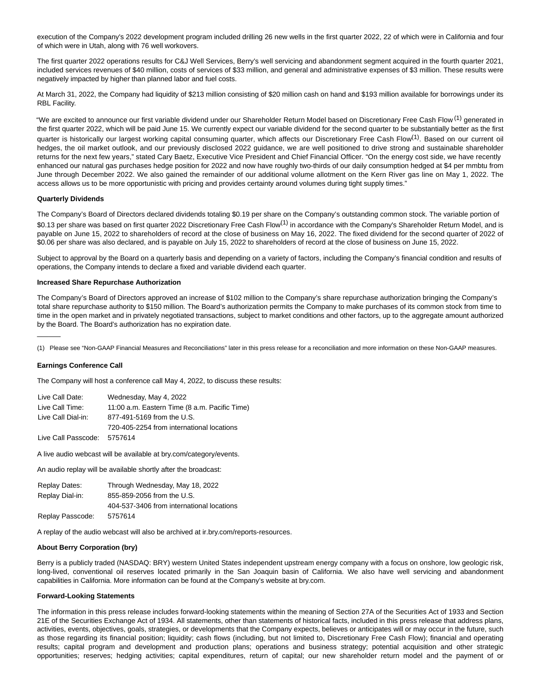execution of the Company's 2022 development program included drilling 26 new wells in the first quarter 2022, 22 of which were in California and four of which were in Utah, along with 76 well workovers.

The first quarter 2022 operations results for C&J Well Services, Berry's well servicing and abandonment segment acquired in the fourth quarter 2021, included services revenues of \$40 million, costs of services of \$33 million, and general and administrative expenses of \$3 million. These results were negatively impacted by higher than planned labor and fuel costs.

At March 31, 2022, the Company had liquidity of \$213 million consisting of \$20 million cash on hand and \$193 million available for borrowings under its RBL Facility.

"We are excited to announce our first variable dividend under our Shareholder Return Model based on Discretionary Free Cash Flow <sup>(1)</sup> generated in the first quarter 2022, which will be paid June 15. We currently expect our variable dividend for the second quarter to be substantially better as the first quarter is historically our largest working capital consuming quarter, which affects our Discretionary Free Cash Flow<sup>(1)</sup>. Based on our current oil hedges, the oil market outlook, and our previously disclosed 2022 guidance, we are well positioned to drive strong and sustainable shareholder returns for the next few years," stated Cary Baetz, Executive Vice President and Chief Financial Officer. "On the energy cost side, we have recently enhanced our natural gas purchases hedge position for 2022 and now have roughly two-thirds of our daily consumption hedged at \$4 per mmbtu from June through December 2022. We also gained the remainder of our additional volume allotment on the Kern River gas line on May 1, 2022. The access allows us to be more opportunistic with pricing and provides certainty around volumes during tight supply times."

### **Quarterly Dividends**

The Company's Board of Directors declared dividends totaling \$0.19 per share on the Company's outstanding common stock. The variable portion of \$0.13 per share was based on first quarter 2022 Discretionary Free Cash Flow<sup>(1)</sup> in accordance with the Company's Shareholder Return Model, and is payable on June 15, 2022 to shareholders of record at the close of business on May 16, 2022. The fixed dividend for the second quarter of 2022 of \$0.06 per share was also declared, and is payable on July 15, 2022 to shareholders of record at the close of business on June 15, 2022.

Subject to approval by the Board on a quarterly basis and depending on a variety of factors, including the Company's financial condition and results of operations, the Company intends to declare a fixed and variable dividend each quarter.

#### **Increased Share Repurchase Authorization**

The Company's Board of Directors approved an increase of \$102 million to the Company's share repurchase authorization bringing the Company's total share repurchase authority to \$150 million. The Board's authorization permits the Company to make purchases of its common stock from time to time in the open market and in privately negotiated transactions, subject to market conditions and other factors, up to the aggregate amount authorized by the Board. The Board's authorization has no expiration date.

(1) Please see "Non-GAAP Financial Measures and Reconciliations" later in this press release for a reconciliation and more information on these Non-GAAP measures.

#### **Earnings Conference Call**

\_\_\_\_\_\_

The Company will host a conference call May 4, 2022, to discuss these results:

| Live Call Date:     | Wednesday, May 4, 2022                        |
|---------------------|-----------------------------------------------|
| Live Call Time:     | 11:00 a.m. Eastern Time (8 a.m. Pacific Time) |
| Live Call Dial-in:  | 877-491-5169 from the U.S.                    |
|                     | 720-405-2254 from international locations     |
| Live Call Passcode: | 5757614                                       |

A live audio webcast will be available at bry.com/category/events.

An audio replay will be available shortly after the broadcast:

| Replay Dates:    | Through Wednesday, May 18, 2022           |
|------------------|-------------------------------------------|
| Replay Dial-in:  | 855-859-2056 from the U.S.                |
|                  | 404-537-3406 from international locations |
| Replay Passcode: | 5757614                                   |

A replay of the audio webcast will also be archived at ir.bry.com/reports-resources.

#### **About Berry Corporation (bry)**

Berry is a publicly traded (NASDAQ: BRY) western United States independent upstream energy company with a focus on onshore, low geologic risk, long-lived, conventional oil reserves located primarily in the San Joaquin basin of California. We also have well servicing and abandonment capabilities in California. More information can be found at the Company's website at bry.com.

#### **Forward-Looking Statements**

The information in this press release includes forward-looking statements within the meaning of Section 27A of the Securities Act of 1933 and Section 21E of the Securities Exchange Act of 1934. All statements, other than statements of historical facts, included in this press release that address plans, activities, events, objectives, goals, strategies, or developments that the Company expects, believes or anticipates will or may occur in the future, such as those regarding its financial position; liquidity; cash flows (including, but not limited to, Discretionary Free Cash Flow); financial and operating results; capital program and development and production plans; operations and business strategy; potential acquisition and other strategic opportunities; reserves; hedging activities; capital expenditures, return of capital; our new shareholder return model and the payment of or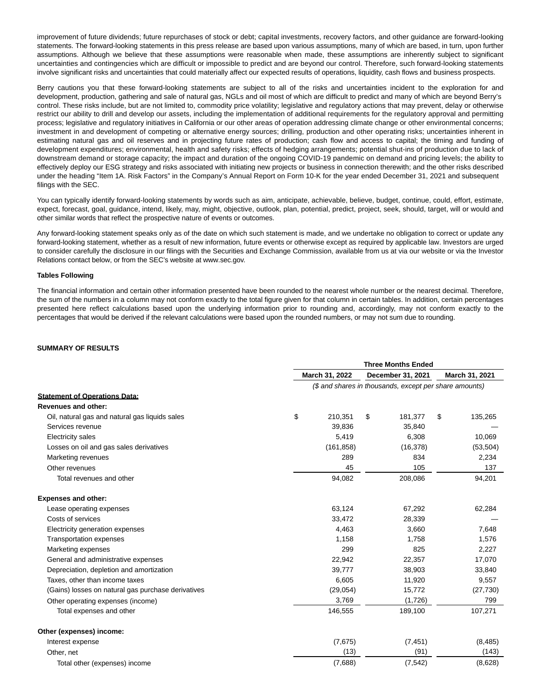improvement of future dividends; future repurchases of stock or debt; capital investments, recovery factors, and other guidance are forward-looking statements. The forward-looking statements in this press release are based upon various assumptions, many of which are based, in turn, upon further assumptions. Although we believe that these assumptions were reasonable when made, these assumptions are inherently subject to significant uncertainties and contingencies which are difficult or impossible to predict and are beyond our control. Therefore, such forward-looking statements involve significant risks and uncertainties that could materially affect our expected results of operations, liquidity, cash flows and business prospects.

Berry cautions you that these forward-looking statements are subject to all of the risks and uncertainties incident to the exploration for and development, production, gathering and sale of natural gas, NGLs and oil most of which are difficult to predict and many of which are beyond Berry's control. These risks include, but are not limited to, commodity price volatility; legislative and regulatory actions that may prevent, delay or otherwise restrict our ability to drill and develop our assets, including the implementation of additional requirements for the regulatory approval and permitting process; legislative and regulatory initiatives in California or our other areas of operation addressing climate change or other environmental concerns; investment in and development of competing or alternative energy sources; drilling, production and other operating risks; uncertainties inherent in estimating natural gas and oil reserves and in projecting future rates of production; cash flow and access to capital; the timing and funding of development expenditures; environmental, health and safety risks; effects of hedging arrangements; potential shut-ins of production due to lack of downstream demand or storage capacity; the impact and duration of the ongoing COVID-19 pandemic on demand and pricing levels; the ability to effectively deploy our ESG strategy and risks associated with initiating new projects or business in connection therewith; and the other risks described under the heading "Item 1A. Risk Factors" in the Company's Annual Report on Form 10-K for the year ended December 31, 2021 and subsequent filings with the SEC.

You can typically identify forward-looking statements by words such as aim, anticipate, achievable, believe, budget, continue, could, effort, estimate, expect, forecast, goal, guidance, intend, likely, may, might, objective, outlook, plan, potential, predict, project, seek, should, target, will or would and other similar words that reflect the prospective nature of events or outcomes.

Any forward-looking statement speaks only as of the date on which such statement is made, and we undertake no obligation to correct or update any forward-looking statement, whether as a result of new information, future events or otherwise except as required by applicable law. Investors are urged to consider carefully the disclosure in our filings with the Securities and Exchange Commission, available from us at via our website or via the Investor Relations contact below, or from the SEC's website at www.sec.gov.

#### **Tables Following**

The financial information and certain other information presented have been rounded to the nearest whole number or the nearest decimal. Therefore, the sum of the numbers in a column may not conform exactly to the total figure given for that column in certain tables. In addition, certain percentages presented here reflect calculations based upon the underlying information prior to rounding and, accordingly, may not conform exactly to the percentages that would be derived if the relevant calculations were based upon the rounded numbers, or may not sum due to rounding.

### **SUMMARY OF RESULTS**

|                                                    | <b>Three Months Ended</b> |    |                                                        |                |           |  |  |
|----------------------------------------------------|---------------------------|----|--------------------------------------------------------|----------------|-----------|--|--|
|                                                    | March 31, 2022            |    | December 31, 2021                                      | March 31, 2021 |           |  |  |
|                                                    |                           |    | (\$ and shares in thousands, except per share amounts) |                |           |  |  |
| <b>Statement of Operations Data:</b>               |                           |    |                                                        |                |           |  |  |
| <b>Revenues and other:</b>                         |                           |    |                                                        |                |           |  |  |
| Oil, natural gas and natural gas liquids sales     | \$<br>210,351             | \$ | 181,377                                                | S              | 135,265   |  |  |
| Services revenue                                   | 39,836                    |    | 35,840                                                 |                |           |  |  |
| Electricity sales                                  | 5,419                     |    | 6,308                                                  |                | 10,069    |  |  |
| Losses on oil and gas sales derivatives            | (161, 858)                |    | (16, 378)                                              |                | (53, 504) |  |  |
| Marketing revenues                                 | 289                       |    | 834                                                    |                | 2,234     |  |  |
| Other revenues                                     | 45                        |    | 105                                                    |                | 137       |  |  |
| Total revenues and other                           | 94,082                    |    | 208,086                                                |                | 94,201    |  |  |
| <b>Expenses and other:</b>                         |                           |    |                                                        |                |           |  |  |
| Lease operating expenses                           | 63,124                    |    | 67,292                                                 |                | 62,284    |  |  |
| Costs of services                                  | 33,472                    |    | 28,339                                                 |                |           |  |  |
| Electricity generation expenses                    | 4,463                     |    | 3,660                                                  |                | 7,648     |  |  |
| <b>Transportation expenses</b>                     | 1,158                     |    | 1,758                                                  |                | 1,576     |  |  |
| Marketing expenses                                 | 299                       |    | 825                                                    |                | 2,227     |  |  |
| General and administrative expenses                | 22,942                    |    | 22,357                                                 |                | 17,070    |  |  |
| Depreciation, depletion and amortization           | 39,777                    |    | 38,903                                                 |                | 33,840    |  |  |
| Taxes, other than income taxes                     | 6,605                     |    | 11,920                                                 |                | 9,557     |  |  |
| (Gains) losses on natural gas purchase derivatives | (29, 054)                 |    | 15,772                                                 |                | (27, 730) |  |  |
| Other operating expenses (income)                  | 3,769                     |    | (1,726)                                                |                | 799       |  |  |
| Total expenses and other                           | 146,555                   |    | 189,100                                                |                | 107,271   |  |  |
| Other (expenses) income:                           |                           |    |                                                        |                |           |  |  |
| Interest expense                                   | (7,675)                   |    | (7, 451)                                               |                | (8, 485)  |  |  |
| Other, net                                         | (13)                      |    | (91)                                                   |                | (143)     |  |  |
| Total other (expenses) income                      | (7,688)                   |    | (7, 542)                                               |                | (8,628)   |  |  |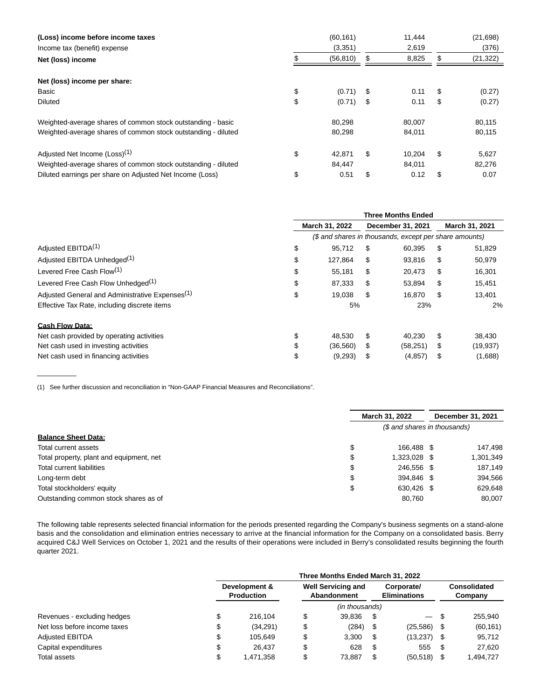| (Loss) income before income taxes<br>Income tax (benefit) expense<br>Net (loss) income | (60, 161)<br>(3,351)<br>(56, 810) | Ъ  | 11.444<br>2,619<br>8,825 |    | (21, 698)<br>(376)<br>(21, 322) |
|----------------------------------------------------------------------------------------|-----------------------------------|----|--------------------------|----|---------------------------------|
| Net (loss) income per share:                                                           |                                   |    |                          |    |                                 |
| Basic                                                                                  | \$<br>(0.71)                      | S. | 0.11                     | S  | (0.27)                          |
| Diluted                                                                                | \$<br>(0.71)                      | \$ | 0.11                     | S  | (0.27)                          |
| Weighted-average shares of common stock outstanding - basic                            | 80,298                            |    | 80,007                   |    | 80,115                          |
| Weighted-average shares of common stock outstanding - diluted                          | 80,298                            |    | 84,011                   |    | 80,115                          |
| Adjusted Net Income (Loss) <sup>(1)</sup>                                              | \$<br>42.871                      | S  | 10.204                   | \$ | 5,627                           |
| Weighted-average shares of common stock outstanding - diluted                          | 84.447                            |    | 84.011                   |    | 82,276                          |
| Diluted earnings per share on Adjusted Net Income (Loss)                               | \$<br>0.51                        | S  | 0.12                     | \$ | 0.07                            |

|                                                             |    | <b>Three Months Ended</b> |    |                                                        |    |                |  |
|-------------------------------------------------------------|----|---------------------------|----|--------------------------------------------------------|----|----------------|--|
|                                                             |    | March 31, 2022            |    | December 31, 2021                                      |    | March 31, 2021 |  |
|                                                             |    |                           |    | (\$ and shares in thousands, except per share amounts) |    |                |  |
| Adjusted EBITDA <sup>(1)</sup>                              | \$ | 95.712<br>S               |    | 60,395                                                 | \$ | 51,829         |  |
| Adjusted EBITDA Unhedged <sup>(1)</sup>                     | \$ | 127.864                   | \$ | 93,816                                                 | S  | 50,979         |  |
| Levered Free Cash Flow <sup>(1)</sup>                       | \$ | 55,181                    | \$ | 20,473                                                 | S  | 16,301         |  |
| Levered Free Cash Flow Unhedged <sup>(1)</sup>              | S  | 87,333                    | S  | 53,894                                                 | S  | 15,451         |  |
| Adjusted General and Administrative Expenses <sup>(1)</sup> | \$ | 19.038                    | \$ | 16,870                                                 | \$ | 13,401         |  |
| Effective Tax Rate, including discrete items                |    | 5%                        |    | 23%                                                    |    | 2%             |  |
| <b>Cash Flow Data:</b>                                      |    |                           |    |                                                        |    |                |  |
| Net cash provided by operating activities                   | \$ | 48.530                    | S  | 40.230                                                 | S  | 38,430         |  |
| Net cash used in investing activities                       |    | (36, 560)                 | \$ | (58, 251)                                              | \$ | (19, 937)      |  |
| Net cash used in financing activities                       | \$ | (9,293)                   | \$ | (4, 857)                                               | \$ | (1,688)        |  |

(1) See further discussion and reconciliation in "Non-GAAP Financial Measures and Reconciliations".

 $\overline{\phantom{a}}$ 

|                                          |    | March 31, 2022               | December 31, 2021 |           |
|------------------------------------------|----|------------------------------|-------------------|-----------|
|                                          |    | (\$ and shares in thousands) |                   |           |
| <b>Balance Sheet Data:</b>               |    |                              |                   |           |
| Total current assets                     | \$ | 166.488 \$                   |                   | 147.498   |
| Total property, plant and equipment, net | \$ | 1,323,028 \$                 |                   | 1,301,349 |
| Total current liabilities                | \$ | 246.556 \$                   |                   | 187.149   |
| Long-term debt                           | \$ | 394.846 \$                   |                   | 394.566   |
| Total stockholders' equity               | \$ | 630.426 \$                   |                   | 629.648   |
| Outstanding common stock shares as of    |    | 80,760                       |                   | 80.007    |

The following table represents selected financial information for the periods presented regarding the Company's business segments on a stand-alone basis and the consolidation and elimination entries necessary to arrive at the financial information for the Company on a consolidated basis. Berry acquired C&J Well Services on October 1, 2021 and the results of their operations were included in Berry's consolidated results beginning the fourth quarter 2021.

|                              | Three Months Ended March 31, 2022  |           |                                          |                |                                   |               |  |                         |  |  |
|------------------------------|------------------------------------|-----------|------------------------------------------|----------------|-----------------------------------|---------------|--|-------------------------|--|--|
|                              | Development &<br><b>Production</b> |           | <b>Well Servicing and</b><br>Abandonment |                | Corporate/<br><b>Eliminations</b> |               |  | Consolidated<br>Company |  |  |
|                              |                                    |           |                                          | (in thousands) |                                   |               |  |                         |  |  |
| Revenues - excluding hedges  |                                    | 216.104   | \$                                       | 39.836         | \$.                               | — \$          |  | 255.940                 |  |  |
| Net loss before income taxes |                                    | (34, 291) |                                          | (284)          | - \$                              | (25, 586)     |  | (60, 161)               |  |  |
| <b>Adjusted EBITDA</b>       |                                    | 105.649   |                                          | 3.300          | S                                 | $(13,237)$ \$ |  | 95,712                  |  |  |
| Capital expenditures         |                                    | 26.437    |                                          | 628            | \$                                | 555           |  | 27,620                  |  |  |
| Total assets                 |                                    | 1.471.358 |                                          | 73.887         | \$                                | (50, 518)     |  | 1,494,727               |  |  |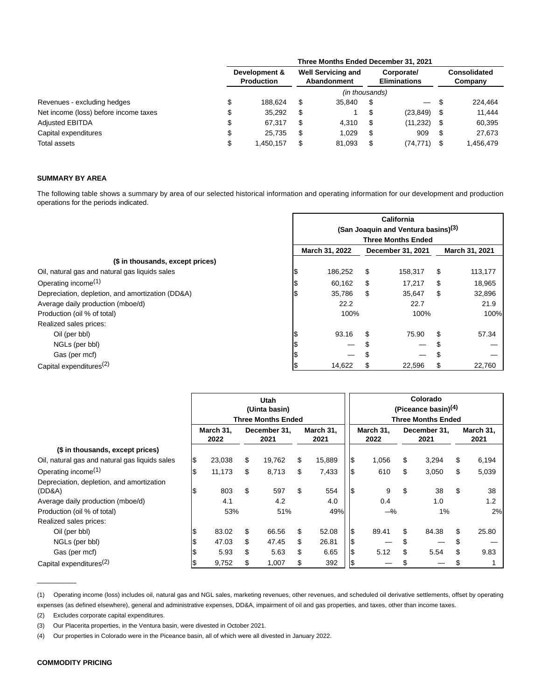|                                       | Three Months Ended December 31, 2021 |           |                                          |                |                                   |           |      |                         |  |  |
|---------------------------------------|--------------------------------------|-----------|------------------------------------------|----------------|-----------------------------------|-----------|------|-------------------------|--|--|
|                                       | Development &<br><b>Production</b>   |           | <b>Well Servicing and</b><br>Abandonment |                | Corporate/<br><b>Eliminations</b> |           |      | Consolidated<br>Company |  |  |
|                                       |                                      |           |                                          | (in thousands) |                                   |           |      |                         |  |  |
| Revenues - excluding hedges           |                                      | 188.624   | S                                        | 35.840         | S                                 |           | - \$ | 224.464                 |  |  |
| Net income (loss) before income taxes |                                      | 35,292    | \$                                       |                |                                   | (23, 849) |      | 11,444                  |  |  |
| <b>Adjusted EBITDA</b>                | \$                                   | 67.317    | \$                                       | 4.310          | \$                                | (11, 232) | - \$ | 60,395                  |  |  |
| Capital expenditures                  | \$                                   | 25.735    | \$                                       | 1.029          | S                                 | 909       |      | 27.673                  |  |  |
| Total assets                          |                                      | 1,450,157 | \$                                       | 81,093         | S                                 | (74, 771) |      | 1,456,479               |  |  |

# **SUMMARY BY AREA**

The following table shows a summary by area of our selected historical information and operating information for our development and production operations for the periods indicated.

|                                                  |    |                                                 |                   | <b>California</b> |                |         |  |  |  |  |
|--------------------------------------------------|----|-------------------------------------------------|-------------------|-------------------|----------------|---------|--|--|--|--|
|                                                  |    | (San Joaquin and Ventura basins) <sup>(3)</sup> |                   |                   |                |         |  |  |  |  |
|                                                  |    | <b>Three Months Ended</b>                       |                   |                   |                |         |  |  |  |  |
|                                                  |    | March 31, 2022                                  | December 31, 2021 |                   | March 31, 2021 |         |  |  |  |  |
| (\$ in thousands, except prices)                 |    |                                                 |                   |                   |                |         |  |  |  |  |
| Oil, natural gas and natural gas liquids sales   |    | 186,252                                         | S                 | 158,317           | \$             | 113,177 |  |  |  |  |
| Operating income <sup>(1)</sup>                  |    | 60,162                                          | \$                | 17.217            | \$             | 18,965  |  |  |  |  |
| Depreciation, depletion, and amortization (DD&A) | 13 | 35,786                                          | S                 | 35,647            | \$             | 32,896  |  |  |  |  |
| Average daily production (mboe/d)                |    | 22.2                                            |                   | 22.7              |                | 21.9    |  |  |  |  |
| Production (oil % of total)                      |    | 100%                                            |                   | 100%              |                | 100%    |  |  |  |  |
| Realized sales prices:                           |    |                                                 |                   |                   |                |         |  |  |  |  |
| Oil (per bbl)                                    |    | 93.16                                           | \$                | 75.90             | \$             | 57.34   |  |  |  |  |
| NGLs (per bbl)                                   |    |                                                 |                   |                   | S              |         |  |  |  |  |
| Gas (per mcf)                                    |    | —                                               |                   |                   | S              |         |  |  |  |  |
| Capital expenditures <sup>(2)</sup>              |    | 14,622                                          |                   | 22,596            | S              | 22,760  |  |  |  |  |

|                                                |                   |        |                      | <b>Utah</b><br>(Uinta basin)<br><b>Three Months Ended</b> |                   |     |                   |     | Colorado<br>(Piceance basin) $(4)$<br><b>Three Months Ended</b> |    |                   |
|------------------------------------------------|-------------------|--------|----------------------|-----------------------------------------------------------|-------------------|-----|-------------------|-----|-----------------------------------------------------------------|----|-------------------|
|                                                | March 31,<br>2022 |        | December 31,<br>2021 |                                                           | March 31,<br>2021 |     | March 31,<br>2022 |     | December 31,<br>2021                                            |    | March 31,<br>2021 |
| (\$ in thousands, except prices)               |                   |        |                      |                                                           |                   |     |                   |     |                                                                 |    |                   |
| Oil, natural gas and natural gas liquids sales | S                 | 23,038 | \$                   | 19,762                                                    | \$<br>15,889      | \$  | 1,056             | \$  | 3,294                                                           | \$ | 6,194             |
| Operating income <sup>(1)</sup>                |                   | 11,173 | \$                   | 8,713                                                     | \$<br>7,433       | \$  | 610               | \$  | 3,050                                                           | \$ | 5,039             |
| Depreciation, depletion, and amortization      |                   |        |                      |                                                           |                   |     |                   |     |                                                                 |    |                   |
| (DD&A)                                         |                   | 803    | \$                   | 597                                                       | \$<br>554         | 1\$ | 9                 | \$  | 38                                                              | \$ | 38                |
| Average daily production (mboe/d)              |                   | 4.1    |                      | 4.2                                                       | 4.0               |     | 0.4               |     | 1.0                                                             |    | 1.2               |
| Production (oil % of total)                    |                   | 53%    |                      | 51%                                                       | 49%               |     | $-\%$             |     | 1%                                                              |    | 2%                |
| Realized sales prices:                         |                   |        |                      |                                                           |                   |     |                   |     |                                                                 |    |                   |
| Oil (per bbl)                                  |                   | 83.02  | \$                   | 66.56                                                     | \$<br>52.08       | ß.  | 89.41             |     | 84.38                                                           | \$ | 25.80             |
| NGLs (per bbl)                                 |                   | 47.03  | \$                   | 47.45                                                     | \$<br>26.81       | \$  |                   |     |                                                                 | \$ |                   |
| Gas (per mcf)                                  |                   | 5.93   | \$                   | 5.63                                                      | \$<br>6.65        | \$  | 5.12              | \$. | 5.54                                                            | \$ | 9.83              |
| Capital expenditures <sup>(2)</sup>            |                   | 9,752  | \$                   | 1,007                                                     | \$<br>392         | 1\$ |                   |     |                                                                 |    |                   |

(1) Operating income (loss) includes oil, natural gas and NGL sales, marketing revenues, other revenues, and scheduled oil derivative settlements, offset by operating expenses (as defined elsewhere), general and administrative expenses, DD&A, impairment of oil and gas properties, and taxes, other than income taxes.

(2) Excludes corporate capital expenditures.

(3) Our Placerita properties, in the Ventura basin, were divested in October 2021.

(4) Our properties in Colorado were in the Piceance basin, all of which were all divested in January 2022.

 $\overline{\phantom{a}}$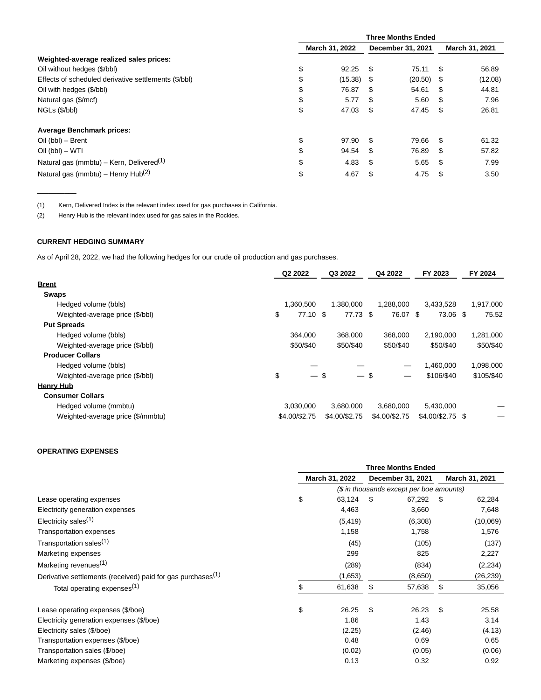|                                                      | <b>Three Months Ended</b> |                   |                |  |  |  |
|------------------------------------------------------|---------------------------|-------------------|----------------|--|--|--|
|                                                      | March 31, 2022            | December 31, 2021 | March 31, 2021 |  |  |  |
| Weighted-average realized sales prices:              |                           |                   |                |  |  |  |
| Oil without hedges (\$/bbl)                          | \$                        | 75.11             | 56.89          |  |  |  |
|                                                      | 92.25                     | \$.               | S              |  |  |  |
| Effects of scheduled derivative settlements (\$/bbl) | \$                        | (20.50)           | (12.08)        |  |  |  |
|                                                      | (15.38)                   | - \$              | - \$           |  |  |  |
| Oil with hedges (\$/bbl)                             | \$                        | 54.61             | 44.81          |  |  |  |
|                                                      | 76.87                     | -S                | S              |  |  |  |
| Natural gas (\$/mcf)                                 | \$                        | 5.60              | 7.96           |  |  |  |
|                                                      | 5.77                      | \$.               | S              |  |  |  |
| NGLs (\$/bbl)                                        | \$                        | S                 | 26.81          |  |  |  |
|                                                      | 47.03                     | 47.45             | S              |  |  |  |
| <b>Average Benchmark prices:</b>                     |                           |                   |                |  |  |  |
| Oil (bbl) - Brent                                    | \$                        | 79.66             | 61.32          |  |  |  |
|                                                      | 97.90                     | -S                | \$.            |  |  |  |
| $Oil$ (bbl) $-$ WTI                                  | \$                        | 76.89             | 57.82          |  |  |  |
|                                                      | 94.54                     | \$                | S              |  |  |  |
| Natural gas (mmbtu) – Kern, Delivered <sup>(1)</sup> | \$                        | \$                | 7.99           |  |  |  |
|                                                      | 4.83                      | 5.65              | S              |  |  |  |
| Natural gas (mmbtu) - Henry Hub <sup>(2)</sup>       | \$                        | \$                | 3.50           |  |  |  |
|                                                      | 4.67                      | 4.75              | \$             |  |  |  |

(1) Kern, Delivered Index is the relevant index used for gas purchases in California.

(2) Henry Hub is the relevant index used for gas sales in the Rockies.

# **CURRENT HEDGING SUMMARY**

 $\overline{\phantom{a}}$ 

As of April 28, 2022, we had the following hedges for our crude oil production and gas purchases.

|                                   | Q2 2022       |           | Q3 2022       | Q4 2022       | FY 2023           | FY 2024    |
|-----------------------------------|---------------|-----------|---------------|---------------|-------------------|------------|
| <b>Brent</b>                      |               |           |               |               |                   |            |
| Swaps                             |               |           |               |               |                   |            |
| Hedged volume (bbls)              |               | 1,360,500 | 1.380.000     | 1,288,000     | 3,433,528         | 1,917,000  |
| Weighted-average price (\$/bbl)   | \$            | 77.10 \$  | 77.73 \$      | 76.07 \$      | 73.06 \$          | 75.52      |
| <b>Put Spreads</b>                |               |           |               |               |                   |            |
| Hedged volume (bbls)              |               | 364,000   | 368,000       | 368,000       | 2,190,000         | 1,281,000  |
| Weighted-average price (\$/bbl)   |               | \$50/\$40 | \$50/\$40     | \$50/\$40     | \$50/\$40         | \$50/\$40  |
| <b>Producer Collars</b>           |               |           |               |               |                   |            |
| Hedged volume (bbls)              |               |           |               |               | 1.460.000         | 1,098,000  |
| Weighted-average price (\$/bbl)   | \$            | $-$ \$    | $\equiv$      | \$            | \$106/\$40        | \$105/\$40 |
| <b>Henry Hub</b>                  |               |           |               |               |                   |            |
| <b>Consumer Collars</b>           |               |           |               |               |                   |            |
| Hedged volume (mmbtu)             |               | 3.030.000 | 3.680.000     | 3.680.000     | 5,430,000         |            |
| Weighted-average price (\$/mmbtu) | \$4.00/\$2.75 |           | \$4.00/\$2.75 | \$4.00/\$2.75 | $$4.00/\$2.75$ \$ |            |
|                                   |               |           |               |               |                   |            |

# **OPERATING EXPENSES**

|                                                                         | <b>Three Months Ended</b> |                                          |                   |         |      |                |  |  |
|-------------------------------------------------------------------------|---------------------------|------------------------------------------|-------------------|---------|------|----------------|--|--|
|                                                                         |                           | March 31, 2022                           | December 31, 2021 |         |      | March 31, 2021 |  |  |
|                                                                         |                           | (\$ in thousands except per boe amounts) |                   |         |      |                |  |  |
| Lease operating expenses                                                | \$                        | 63,124                                   | - \$              | 67,292  | - \$ | 62,284         |  |  |
| Electricity generation expenses                                         |                           | 4,463                                    |                   | 3,660   |      | 7,648          |  |  |
| Electricity sales <sup><math>(1)</math></sup>                           |                           | (5, 419)                                 |                   | (6,308) |      | (10,069)       |  |  |
| <b>Transportation expenses</b>                                          |                           | 1,158                                    |                   | 1,758   |      | 1,576          |  |  |
| Transportation sales <sup>(1)</sup>                                     |                           | (45)                                     |                   | (105)   |      | (137)          |  |  |
| Marketing expenses                                                      |                           | 299                                      |                   | 825     |      | 2,227          |  |  |
| Marketing revenues <sup>(1)</sup>                                       |                           | (289)                                    |                   | (834)   |      | (2, 234)       |  |  |
| Derivative settlements (received) paid for gas purchases <sup>(1)</sup> |                           | (1,653)                                  |                   | (8,650) |      | (26,239)       |  |  |
| Total operating expenses <sup>(1)</sup>                                 |                           | 61,638                                   | \$                | 57,638  | \$.  | 35,056         |  |  |
| Lease operating expenses (\$/boe)                                       | \$                        | 26.25                                    | \$                | 26.23   | \$   | 25.58          |  |  |
| Electricity generation expenses (\$/boe)                                |                           | 1.86                                     |                   | 1.43    |      | 3.14           |  |  |
| Electricity sales (\$/boe)                                              |                           | (2.25)                                   |                   | (2.46)  |      | (4.13)         |  |  |
| Transportation expenses (\$/boe)                                        |                           | 0.48                                     |                   | 0.69    |      | 0.65           |  |  |
| Transportation sales (\$/boe)                                           |                           | (0.02)                                   |                   | (0.05)  |      | (0.06)         |  |  |
| Marketing expenses (\$/boe)                                             |                           | 0.13                                     |                   | 0.32    |      | 0.92           |  |  |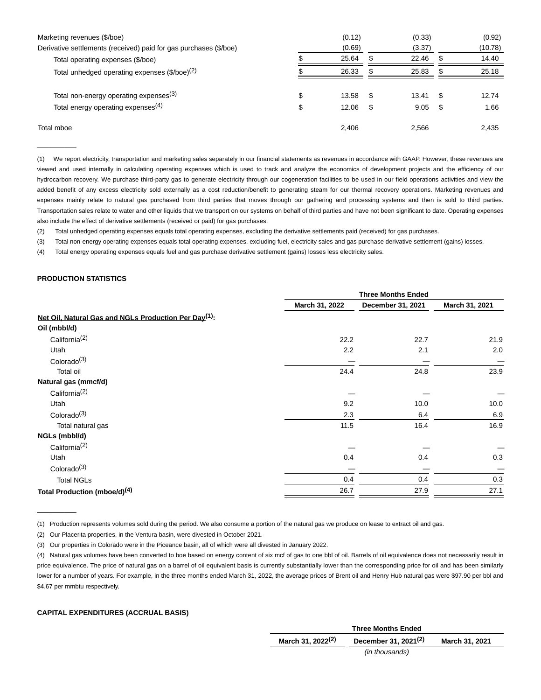| Marketing revenues (\$/boe)<br>Derivative settlements (received) paid for gas purchases (\$/boe) |          | (0.12)<br>(0.69) |   | (0.33)<br>(3.37) |           | (0.92)<br>(10.78) |
|--------------------------------------------------------------------------------------------------|----------|------------------|---|------------------|-----------|-------------------|
| Total operating expenses (\$/boe)                                                                |          | 25.64            |   | 22.46            |           | 14.40             |
| Total unhedged operating expenses (\$/boe) <sup>(2)</sup>                                        |          | 26.33            |   | 25.83            | S         | 25.18             |
| Total non-energy operating expenses <sup>(3)</sup><br>Total energy operating expenses $(4)$      | \$<br>\$ | 13.58<br>12.06   | S | 13.41<br>9.05    | \$.<br>\$ | 12.74<br>1.66     |
| Total mboe                                                                                       |          | 2,406            |   | 2,566            |           | 2,435             |

(1) We report electricity, transportation and marketing sales separately in our financial statements as revenues in accordance with GAAP. However, these revenues are viewed and used internally in calculating operating expenses which is used to track and analyze the economics of development projects and the efficiency of our hydrocarbon recovery. We purchase third-party gas to generate electricity through our cogeneration facilities to be used in our field operations activities and view the added benefit of any excess electricity sold externally as a cost reduction/benefit to generating steam for our thermal recovery operations. Marketing revenues and expenses mainly relate to natural gas purchased from third parties that moves through our gathering and processing systems and then is sold to third parties. Transportation sales relate to water and other liquids that we transport on our systems on behalf of third parties and have not been significant to date. Operating expenses also include the effect of derivative settlements (received or paid) for gas purchases.

(2) Total unhedged operating expenses equals total operating expenses, excluding the derivative settlements paid (received) for gas purchases.

(3) Total non-energy operating expenses equals total operating expenses, excluding fuel, electricity sales and gas purchase derivative settlement (gains) losses.

(4) Total energy operating expenses equals fuel and gas purchase derivative settlement (gains) losses less electricity sales.

# **PRODUCTION STATISTICS**

 $\overline{\phantom{a}}$ 

 $\overline{\phantom{a}}$ 

|                                                                   |                | <b>Three Months Ended</b> |                |  |  |  |  |  |
|-------------------------------------------------------------------|----------------|---------------------------|----------------|--|--|--|--|--|
|                                                                   | March 31, 2022 | December 31, 2021         | March 31, 2021 |  |  |  |  |  |
| Net Oil, Natural Gas and NGLs Production Per Day <sup>(1)</sup> : |                |                           |                |  |  |  |  |  |
| Oil (mbbl/d)                                                      |                |                           |                |  |  |  |  |  |
| California <sup>(2)</sup>                                         | 22.2           | 22.7                      | 21.9           |  |  |  |  |  |
| Utah                                                              | 2.2            | 2.1                       | 2.0            |  |  |  |  |  |
| Colorado <sup>(3)</sup>                                           |                |                           |                |  |  |  |  |  |
| <b>Total oil</b>                                                  | 24.4           | 24.8                      | 23.9           |  |  |  |  |  |
| Natural gas (mmcf/d)                                              |                |                           |                |  |  |  |  |  |
| California <sup>(2)</sup>                                         |                |                           |                |  |  |  |  |  |
| Utah                                                              | 9.2            | 10.0                      | 10.0           |  |  |  |  |  |
| Colorado <sup>(3)</sup>                                           | 2.3            | 6.4                       | 6.9            |  |  |  |  |  |
| Total natural gas                                                 | 11.5           | 16.4                      | 16.9           |  |  |  |  |  |
| NGLs (mbbl/d)                                                     |                |                           |                |  |  |  |  |  |
| California <sup>(2)</sup>                                         |                |                           |                |  |  |  |  |  |
| Utah                                                              | 0.4            | 0.4                       | 0.3            |  |  |  |  |  |
| Colorado $(3)$                                                    |                |                           |                |  |  |  |  |  |
| <b>Total NGLs</b>                                                 | 0.4            | 0.4                       | 0.3            |  |  |  |  |  |
| Total Production (mboe/d) <sup>(4)</sup>                          | 26.7           | 27.9                      | 27.1           |  |  |  |  |  |
|                                                                   |                |                           |                |  |  |  |  |  |

(1) Production represents volumes sold during the period. We also consume a portion of the natural gas we produce on lease to extract oil and gas.

(2) Our Placerita properties, in the Ventura basin, were divested in October 2021.

(3) Our properties in Colorado were in the Piceance basin, all of which were all divested in January 2022.

(4) Natural gas volumes have been converted to boe based on energy content of six mcf of gas to one bbl of oil. Barrels of oil equivalence does not necessarily result in price equivalence. The price of natural gas on a barrel of oil equivalent basis is currently substantially lower than the corresponding price for oil and has been similarly lower for a number of years. For example, in the three months ended March 31, 2022, the average prices of Brent oil and Henry Hub natural gas were \$97.90 per bbl and \$4.67 per mmbtu respectively.

# **CAPITAL EXPENDITURES (ACCRUAL BASIS)**

| <b>Three Months Ended</b>     |                                  |                |  |  |  |  |  |
|-------------------------------|----------------------------------|----------------|--|--|--|--|--|
| March 31, 2022 <sup>(2)</sup> | December 31, 2021 <sup>(2)</sup> | March 31, 2021 |  |  |  |  |  |
|                               | (in thousands)                   |                |  |  |  |  |  |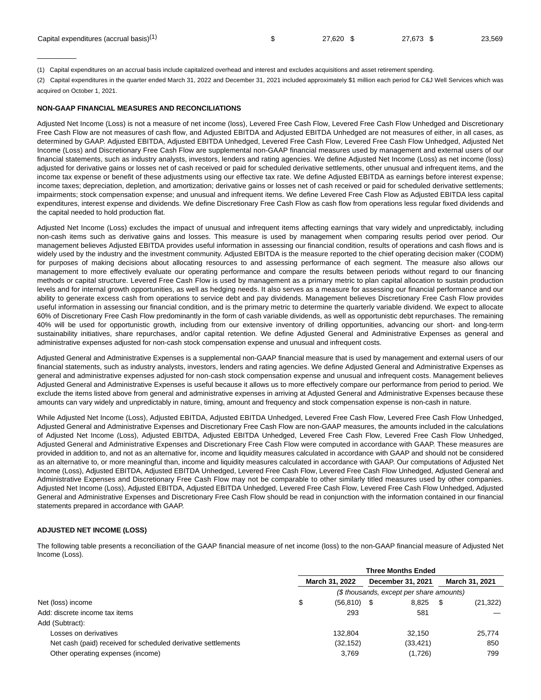| Capital expenditures (accrual basis) <sup>(1)</sup> | 27.620 | 27.673 | 23,569 |
|-----------------------------------------------------|--------|--------|--------|
|                                                     |        |        |        |

(1) Capital expenditures on an accrual basis include capitalized overhead and interest and excludes acquisitions and asset retirement spending.

(2) Capital expenditures in the quarter ended March 31, 2022 and December 31, 2021 included approximately \$1 million each period for C&J Well Services which was acquired on October 1, 2021.

### **NON-GAAP FINANCIAL MEASURES AND RECONCILIATIONS**

 $\overline{\phantom{a}}$ 

Adjusted Net Income (Loss) is not a measure of net income (loss), Levered Free Cash Flow, Levered Free Cash Flow Unhedged and Discretionary Free Cash Flow are not measures of cash flow, and Adjusted EBITDA and Adjusted EBITDA Unhedged are not measures of either, in all cases, as determined by GAAP. Adjusted EBITDA, Adjusted EBITDA Unhedged, Levered Free Cash Flow, Levered Free Cash Flow Unhedged, Adjusted Net Income (Loss) and Discretionary Free Cash Flow are supplemental non-GAAP financial measures used by management and external users of our financial statements, such as industry analysts, investors, lenders and rating agencies. We define Adjusted Net Income (Loss) as net income (loss) adjusted for derivative gains or losses net of cash received or paid for scheduled derivative settlements, other unusual and infrequent items, and the income tax expense or benefit of these adjustments using our effective tax rate. We define Adjusted EBITDA as earnings before interest expense; income taxes; depreciation, depletion, and amortization; derivative gains or losses net of cash received or paid for scheduled derivative settlements; impairments; stock compensation expense; and unusual and infrequent items. We define Levered Free Cash Flow as Adjusted EBITDA less capital expenditures, interest expense and dividends. We define Discretionary Free Cash Flow as cash flow from operations less regular fixed dividends and the capital needed to hold production flat.

Adjusted Net Income (Loss) excludes the impact of unusual and infrequent items affecting earnings that vary widely and unpredictably, including non-cash items such as derivative gains and losses. This measure is used by management when comparing results period over period. Our management believes Adjusted EBITDA provides useful information in assessing our financial condition, results of operations and cash flows and is widely used by the industry and the investment community. Adjusted EBITDA is the measure reported to the chief operating decision maker (CODM) for purposes of making decisions about allocating resources to and assessing performance of each segment. The measure also allows our management to more effectively evaluate our operating performance and compare the results between periods without regard to our financing methods or capital structure. Levered Free Cash Flow is used by management as a primary metric to plan capital allocation to sustain production levels and for internal growth opportunities, as well as hedging needs. It also serves as a measure for assessing our financial performance and our ability to generate excess cash from operations to service debt and pay dividends. Management believes Discretionary Free Cash Flow provides useful information in assessing our financial condition, and is the primary metric to determine the quarterly variable dividend. We expect to allocate 60% of Discretionary Free Cash Flow predominantly in the form of cash variable dividends, as well as opportunistic debt repurchases. The remaining 40% will be used for opportunistic growth, including from our extensive inventory of drilling opportunities, advancing our short- and long-term sustainability initiatives, share repurchases, and/or capital retention. We define Adjusted General and Administrative Expenses as general and administrative expenses adjusted for non-cash stock compensation expense and unusual and infrequent costs.

Adjusted General and Administrative Expenses is a supplemental non-GAAP financial measure that is used by management and external users of our financial statements, such as industry analysts, investors, lenders and rating agencies. We define Adjusted General and Administrative Expenses as general and administrative expenses adjusted for non-cash stock compensation expense and unusual and infrequent costs. Management believes Adjusted General and Administrative Expenses is useful because it allows us to more effectively compare our performance from period to period. We exclude the items listed above from general and administrative expenses in arriving at Adjusted General and Administrative Expenses because these amounts can vary widely and unpredictably in nature, timing, amount and frequency and stock compensation expense is non-cash in nature.

While Adjusted Net Income (Loss), Adjusted EBITDA, Adjusted EBITDA Unhedged, Levered Free Cash Flow, Levered Free Cash Flow Unhedged, Adjusted General and Administrative Expenses and Discretionary Free Cash Flow are non-GAAP measures, the amounts included in the calculations of Adjusted Net Income (Loss), Adjusted EBITDA, Adjusted EBITDA Unhedged, Levered Free Cash Flow, Levered Free Cash Flow Unhedged, Adjusted General and Administrative Expenses and Discretionary Free Cash Flow were computed in accordance with GAAP. These measures are provided in addition to, and not as an alternative for, income and liquidity measures calculated in accordance with GAAP and should not be considered as an alternative to, or more meaningful than, income and liquidity measures calculated in accordance with GAAP. Our computations of Adjusted Net Income (Loss), Adjusted EBITDA, Adjusted EBITDA Unhedged, Levered Free Cash Flow, Levered Free Cash Flow Unhedged, Adjusted General and Administrative Expenses and Discretionary Free Cash Flow may not be comparable to other similarly titled measures used by other companies. Adjusted Net Income (Loss), Adjusted EBITDA, Adjusted EBITDA Unhedged, Levered Free Cash Flow, Levered Free Cash Flow Unhedged, Adjusted General and Administrative Expenses and Discretionary Free Cash Flow should be read in conjunction with the information contained in our financial statements prepared in accordance with GAAP.

# **ADJUSTED NET INCOME (LOSS)**

The following table presents a reconciliation of the GAAP financial measure of net income (loss) to the non-GAAP financial measure of Adjusted Net Income (Loss).

|                                                               | <b>Three Months Ended</b> |                |  |                                          |  |                       |  |  |  |
|---------------------------------------------------------------|---------------------------|----------------|--|------------------------------------------|--|-----------------------|--|--|--|
|                                                               |                           | March 31, 2022 |  | December 31, 2021                        |  | <b>March 31, 2021</b> |  |  |  |
|                                                               |                           |                |  | (\$ thousands, except per share amounts) |  |                       |  |  |  |
| Net (loss) income                                             | \$                        | $(56, 810)$ \$ |  | 8.825                                    |  | (21, 322)             |  |  |  |
| Add: discrete income tax items                                |                           | 293            |  | 581                                      |  |                       |  |  |  |
| Add (Subtract):                                               |                           |                |  |                                          |  |                       |  |  |  |
| Losses on derivatives                                         |                           | 132.804        |  | 32.150                                   |  | 25.774                |  |  |  |
| Net cash (paid) received for scheduled derivative settlements |                           | (32, 152)      |  | (33, 421)                                |  | 850                   |  |  |  |
| Other operating expenses (income)                             |                           | 3,769          |  | (1,726)                                  |  | 799                   |  |  |  |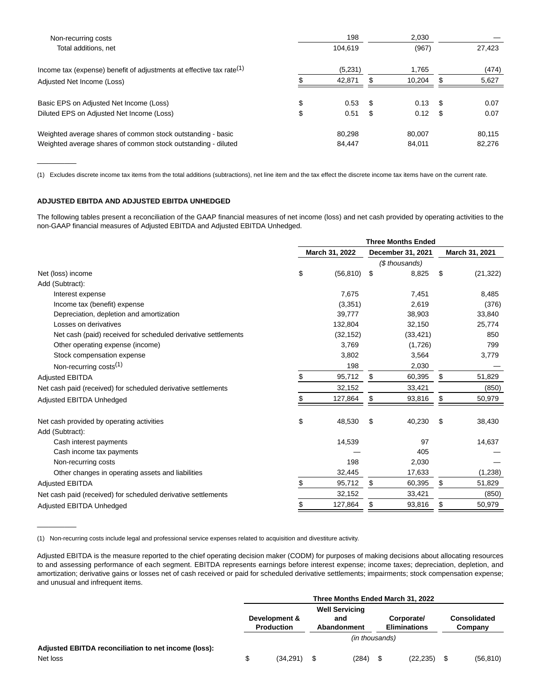| Non-recurring costs                                                     | 198                                                                                                                               | 2.030 |       |  |        |  |
|-------------------------------------------------------------------------|-----------------------------------------------------------------------------------------------------------------------------------|-------|-------|--|--------|--|
| Total additions, net                                                    | 104.619                                                                                                                           |       | (967) |  | 27,423 |  |
| Income tax (expense) benefit of adjustments at effective tax rate $(1)$ | (5,231)<br>1,765<br>10,204<br>42.871<br>0.13<br>0.53<br>\$.<br>0.12<br>0.51<br>\$<br>- \$<br>80.298<br>80.007<br>84.011<br>84.447 | (474) |       |  |        |  |
| Adjusted Net Income (Loss)                                              |                                                                                                                                   |       |       |  | 5,627  |  |
| Basic EPS on Adjusted Net Income (Loss)                                 | \$                                                                                                                                |       |       |  | 0.07   |  |
| Diluted EPS on Adjusted Net Income (Loss)                               | \$                                                                                                                                |       |       |  | 0.07   |  |
| Weighted average shares of common stock outstanding - basic             |                                                                                                                                   |       |       |  | 80.115 |  |
| Weighted average shares of common stock outstanding - diluted           |                                                                                                                                   |       |       |  | 82.276 |  |

(1) Excludes discrete income tax items from the total additions (subtractions), net line item and the tax effect the discrete income tax items have on the current rate.

# **ADJUSTED EBITDA AND ADJUSTED EBITDA UNHEDGED**

 $\overline{\phantom{a}}$ 

 $\overline{\phantom{a}}$ 

The following tables present a reconciliation of the GAAP financial measures of net income (loss) and net cash provided by operating activities to the non-GAAP financial measures of Adjusted EBITDA and Adjusted EBITDA Unhedged.

|                                                               | <b>Three Months Ended</b> |                |    |                   |    |                |
|---------------------------------------------------------------|---------------------------|----------------|----|-------------------|----|----------------|
|                                                               |                           | March 31, 2022 |    | December 31, 2021 |    | March 31, 2021 |
|                                                               |                           |                |    | (\$ thousands)    |    |                |
| Net (loss) income                                             | \$                        | (56, 810)      | \$ | 8,825             | \$ | (21, 322)      |
| Add (Subtract):                                               |                           |                |    |                   |    |                |
| Interest expense                                              |                           | 7,675          |    | 7,451             |    | 8,485          |
| Income tax (benefit) expense                                  |                           | (3,351)        |    | 2,619             |    | (376)          |
| Depreciation, depletion and amortization                      |                           | 39,777         |    | 38,903            |    | 33,840         |
| Losses on derivatives                                         |                           | 132,804        |    | 32,150            |    | 25,774         |
| Net cash (paid) received for scheduled derivative settlements |                           | (32, 152)      |    | (33, 421)         |    | 850            |
| Other operating expense (income)                              |                           | 3,769          |    | (1,726)           |    | 799            |
| Stock compensation expense                                    |                           | 3,802          |    | 3,564             |    | 3,779          |
| Non-recurring costs <sup>(1)</sup>                            |                           | 198            |    | 2,030             |    |                |
| <b>Adjusted EBITDA</b>                                        | \$                        | 95,712         | \$ | 60,395            | \$ | 51,829         |
| Net cash paid (received) for scheduled derivative settlements |                           | 32,152         |    | 33,421            |    | (850)          |
| Adjusted EBITDA Unhedged                                      |                           | 127,864        | \$ | 93,816            |    | 50,979         |
| Net cash provided by operating activities<br>Add (Subtract):  | \$                        | 48,530         | \$ | 40,230            | \$ | 38,430         |
| Cash interest payments                                        |                           | 14,539         |    | 97                |    | 14,637         |
| Cash income tax payments                                      |                           |                |    | 405               |    |                |
| Non-recurring costs                                           |                           | 198            |    | 2,030             |    |                |
| Other changes in operating assets and liabilities             |                           | 32,445         |    | 17,633            |    | (1,238)        |
| <b>Adjusted EBITDA</b>                                        | \$                        | 95,712         | \$ | 60,395            | \$ | 51,829         |
| Net cash paid (received) for scheduled derivative settlements |                           | 32,152         |    | 33,421            |    | (850)          |
| Adjusted EBITDA Unhedged                                      | \$                        | 127,864        | \$ | 93,816            |    | 50,979         |
|                                                               |                           |                |    |                   |    |                |

(1) Non-recurring costs include legal and professional service expenses related to acquisition and divestiture activity.

Adjusted EBITDA is the measure reported to the chief operating decision maker (CODM) for purposes of making decisions about allocating resources to and assessing performance of each segment. EBITDA represents earnings before interest expense; income taxes; depreciation, depletion, and amortization; derivative gains or losses net of cash received or paid for scheduled derivative settlements; impairments; stock compensation expense; and unusual and infrequent items.

|                                                      |                       |                                    |                                                         |                |  | Three Months Ended March 31, 2022 |  |           |
|------------------------------------------------------|-----------------------|------------------------------------|---------------------------------------------------------|----------------|--|-----------------------------------|--|-----------|
|                                                      | <b>Well Servicing</b> |                                    |                                                         |                |  |                                   |  |           |
|                                                      |                       | Development &<br><b>Production</b> | Corporate/<br>and<br><b>Eliminations</b><br>Abandonment |                |  | Consolidated<br>Company           |  |           |
|                                                      |                       |                                    |                                                         | (in thousands) |  |                                   |  |           |
| Adjusted EBITDA reconciliation to net income (loss): |                       |                                    |                                                         |                |  |                                   |  |           |
| Net loss                                             | \$                    | (34, 291)                          |                                                         | (284)          |  | (22, 235)                         |  | (56, 810) |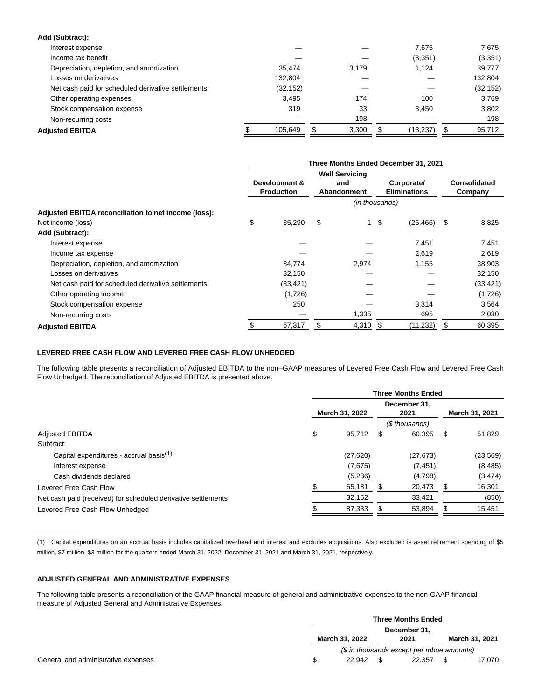| Add (Subtract):                                    |           |       |           |              |
|----------------------------------------------------|-----------|-------|-----------|--------------|
| Interest expense                                   |           |       | 7.675     | 7,675        |
| Income tax benefit                                 |           |       | (3,351)   | (3,351)      |
| Depreciation, depletion, and amortization          | 35.474    | 3.179 | 1.124     | 39,777       |
| Losses on derivatives                              | 132,804   |       |           | 132,804      |
| Net cash paid for scheduled derivative settlements | (32, 152) |       |           | (32, 152)    |
| Other operating expenses                           | 3.495     | 174   | 100       | 3.769        |
| Stock compensation expense                         | 319       | 33    | 3.450     | 3,802        |
| Non-recurring costs                                |           | 198   |           | 198          |
| <b>Adiusted EBITDA</b>                             | 105.649   | 3,300 | (13, 237) | \$<br>95,712 |
|                                                    |           |       |           |              |

|                                                      | Three Months Ended December 31, 2021 |                                    |    |                                             |    |                                   |    |                         |  |  |
|------------------------------------------------------|--------------------------------------|------------------------------------|----|---------------------------------------------|----|-----------------------------------|----|-------------------------|--|--|
|                                                      |                                      | Development &<br><b>Production</b> |    | <b>Well Servicing</b><br>and<br>Abandonment |    | Corporate/<br><b>Eliminations</b> |    | Consolidated<br>Company |  |  |
|                                                      | (in thousands)                       |                                    |    |                                             |    |                                   |    |                         |  |  |
| Adjusted EBITDA reconciliation to net income (loss): |                                      |                                    |    |                                             |    |                                   |    |                         |  |  |
| Net income (loss)                                    | \$                                   | 35,290                             | \$ | 1                                           | \$ | (26, 466)                         | \$ | 8,825                   |  |  |
| Add (Subtract):                                      |                                      |                                    |    |                                             |    |                                   |    |                         |  |  |
| Interest expense                                     |                                      |                                    |    |                                             |    | 7,451                             |    | 7,451                   |  |  |
| Income tax expense                                   |                                      |                                    |    |                                             |    | 2,619                             |    | 2,619                   |  |  |
| Depreciation, depletion, and amortization            |                                      | 34,774                             |    | 2,974                                       |    | 1,155                             |    | 38,903                  |  |  |
| Losses on derivatives                                |                                      | 32,150                             |    |                                             |    |                                   |    | 32,150                  |  |  |
| Net cash paid for scheduled derivative settlements   |                                      | (33, 421)                          |    |                                             |    |                                   |    | (33,421)                |  |  |
| Other operating income                               |                                      | (1,726)                            |    |                                             |    |                                   |    | (1,726)                 |  |  |
| Stock compensation expense                           |                                      | 250                                |    |                                             |    | 3,314                             |    | 3,564                   |  |  |
| Non-recurring costs                                  |                                      |                                    |    | 1,335                                       |    | 695                               |    | 2,030                   |  |  |
| <b>Adjusted EBITDA</b>                               |                                      | 67,317                             | S  | 4,310                                       | \$ | (11, 232)                         | \$ | 60,395                  |  |  |

### **LEVERED FREE CASH FLOW AND LEVERED FREE CASH FLOW UNHEDGED**

The following table presents a reconciliation of Adjusted EBITDA to the non–GAAP measures of Levered Free Cash Flow and Levered Free Cash Flow Unhedged. The reconciliation of Adjusted EBITDA is presented above.

|                                                               | <b>Three Months Ended</b> |          |   |                      |     |                |  |  |  |  |
|---------------------------------------------------------------|---------------------------|----------|---|----------------------|-----|----------------|--|--|--|--|
|                                                               | March 31, 2022            |          |   | December 31.<br>2021 |     | March 31, 2021 |  |  |  |  |
|                                                               |                           |          |   | (\$ thousands)       |     |                |  |  |  |  |
| <b>Adjusted EBITDA</b>                                        | \$                        | 95,712   | S | 60,395               | S   | 51,829         |  |  |  |  |
| Subtract:                                                     |                           |          |   |                      |     |                |  |  |  |  |
| Capital expenditures - accrual basis <sup>(1)</sup>           |                           | (27,620) |   | (27, 673)            |     | (23, 569)      |  |  |  |  |
| Interest expense                                              |                           | (7,675)  |   | (7, 451)             |     | (8,485)        |  |  |  |  |
| Cash dividends declared                                       |                           | (5,236)  |   | (4,798)              |     | (3, 474)       |  |  |  |  |
| Levered Free Cash Flow                                        |                           | 55,181   |   | 20,473               | \$. | 16,301         |  |  |  |  |
| Net cash paid (received) for scheduled derivative settlements |                           | 32,152   |   | 33,421               |     | (850)          |  |  |  |  |
| Levered Free Cash Flow Unhedged                               |                           | 87,333   |   | 53,894               | Ъ   | 15,451         |  |  |  |  |

(1) Capital expenditures on an accrual basis includes capitalized overhead and interest and excludes acquisitions. Also excluded is asset retirement spending of \$5 million, \$7 million, \$3 million for the quarters ended March 31, 2022, December 31, 2021 and March 31, 2021, respectively.

### **ADJUSTED GENERAL AND ADMINISTRATIVE EXPENSES**

 $\overline{\phantom{a}}$ 

The following table presents a reconciliation of the GAAP financial measure of general and administrative expenses to the non-GAAP financial measure of Adjusted General and Administrative Expenses.

|  | <b>Three Months Ended</b>                 |  |        |  |                       |  |
|--|-------------------------------------------|--|--------|--|-----------------------|--|
|  | December 31,                              |  |        |  |                       |  |
|  | March 31, 2022                            |  | 2021   |  | <b>March 31, 2021</b> |  |
|  | (\$ in thousands except per mboe amounts) |  |        |  |                       |  |
|  | 22.942                                    |  | 22.357 |  | 17.070                |  |